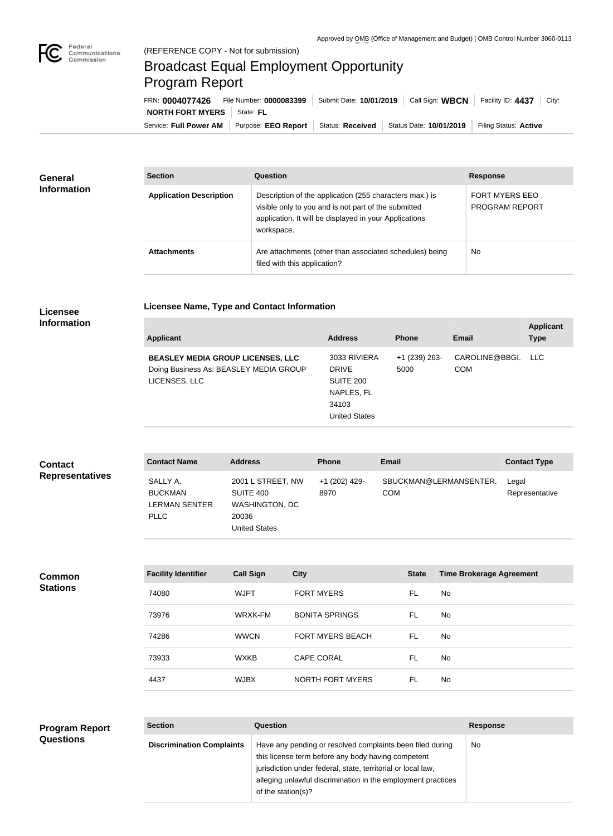

## Broadcast Equal Employment Opportunity Program Report

**Licensee Name, Type and Contact Information**

Service: Full Power AM | Purpose: EEO Report | Status: Received | Status Date: 10/01/2019 | Filing Status: Active **NORTH FORT MYERS** | State: FL FRN: **0004077426** File Number: **0000083399** Submit Date: **10/01/2019** Call Sign: **WBCN** Facility ID: **4437** City:

| <b>General</b><br><b>Information</b> | <b>Section</b>                 | <b>Question</b>                                                                                                                                                                         | <b>Response</b>                         |  |
|--------------------------------------|--------------------------------|-----------------------------------------------------------------------------------------------------------------------------------------------------------------------------------------|-----------------------------------------|--|
|                                      | <b>Application Description</b> | Description of the application (255 characters max.) is<br>visible only to you and is not part of the submitted<br>application. It will be displayed in your Applications<br>workspace. | <b>FORT MYERS EEO</b><br>PROGRAM REPORT |  |
|                                      | <b>Attachments</b>             | Are attachments (other than associated schedules) being<br>filed with this application?                                                                                                 | No                                      |  |

## **Licensee Information**

| <b>Address</b><br><b>Applicant</b><br><b>Phone</b>                                                                                                                                                                         | Email                        | <b>Type</b> |
|----------------------------------------------------------------------------------------------------------------------------------------------------------------------------------------------------------------------------|------------------------------|-------------|
| 3033 RIVIERA<br>$+1$ (239) 263-<br><b>BEASLEY MEDIA GROUP LICENSES, LLC</b><br>Doing Business As: BEASLEY MEDIA GROUP<br><b>DRIVE</b><br>5000<br>LICENSES, LLC<br>SUITE 200<br>NAPLES, FL<br>34103<br><b>United States</b> | CAROLINE@BBGI.<br><b>COM</b> | LLC.        |

| <b>Contact</b>         | <b>Contact Name</b>                                               | <b>Address</b>                                                                           | <b>Phone</b>          | <b>Email</b>                         | <b>Contact Type</b>     |
|------------------------|-------------------------------------------------------------------|------------------------------------------------------------------------------------------|-----------------------|--------------------------------------|-------------------------|
| <b>Representatives</b> | SALLY A.<br><b>BUCKMAN</b><br><b>LERMAN SENTER</b><br><b>PLLC</b> | 2001 L STREET, NW<br>SUITE 400<br><b>WASHINGTON, DC</b><br>20036<br><b>United States</b> | +1 (202) 429-<br>8970 | SBUCKMAN@LERMANSENTER.<br><b>COM</b> | Legal<br>Representative |

**Common Stations**

| <b>Facility Identifier</b> | <b>Call Sign</b> | <b>City</b>             | <b>State</b> | <b>Time Brokerage Agreement</b> |
|----------------------------|------------------|-------------------------|--------------|---------------------------------|
| 74080                      | <b>WJPT</b>      | <b>FORT MYERS</b>       | FL           | No.                             |
| 73976                      | WRXK-FM          | <b>BONITA SPRINGS</b>   | FL           | No.                             |
| 74286                      | <b>WWCN</b>      | <b>FORT MYERS BEACH</b> | FL           | No.                             |
| 73933                      | <b>WXKB</b>      | <b>CAPE CORAL</b>       | FL           | No.                             |
| 4437                       | <b>WJBX</b>      | NORTH FORT MYERS        | FL           | No.                             |

## **Section Question Response Discrimination Complaints** | Have any pending or resolved complaints been filed during this license term before any body having competent jurisdiction under federal, state, territorial or local law, alleging unlawful discrimination in the employment practices of the station(s)? No **Program Report Questions**